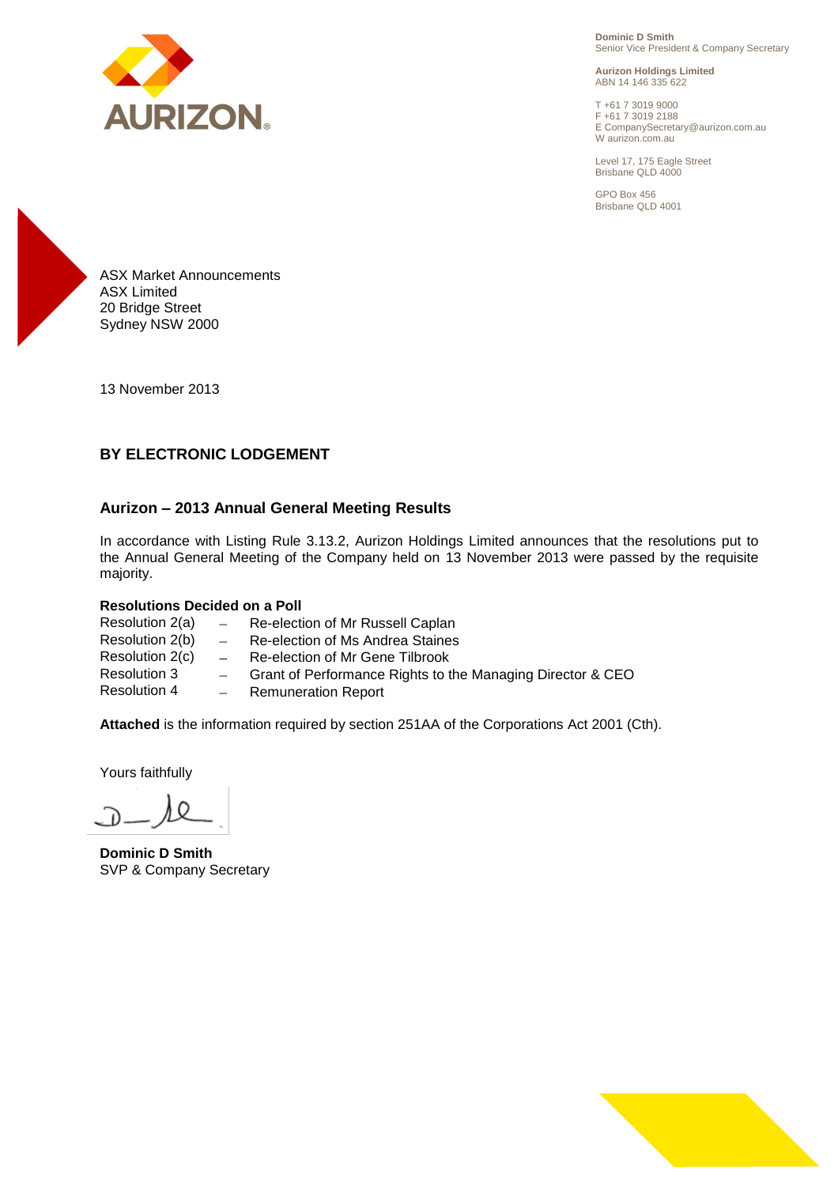

**Dominic D Smith** Senior Vice President & Company Secretary

**Aurizon Holdings Limited** ABN 14 146 335 622

T +61 7 3019 9000 F +61 7 3019 2188 E CompanySecretary@aurizon.com.au W aurizon.com.au

Level 17, 175 Eagle Street Brisbane QLD 4000

GPO Box 456 Brisbane QLD 4001



13 November 2013

# **BY ELECTRONIC LODGEMENT**

#### **Aurizon – 2013 Annual General Meeting Results**

In accordance with Listing Rule 3.13.2, Aurizon Holdings Limited announces that the resolutions put to the Annual General Meeting of the Company held on 13 November 2013 were passed by the requisite majority.

#### **Resolutions Decided on a Poll**

Resolution 2(a) - Re-election of Mr Russell Caplan<br>Resolution 2(b) - Re-election of Ms Andrea Staines Resolution 2(b)  $-$  Re-election of Ms Andrea Staines<br>Resolution 2(c)  $-$  Re-election of Mr Gene Tilbrook Resolution 2(c) - Re-election of Mr Gene Tilbrook<br>Resolution 3 - Grant of Performance Rights to t - Grant of Performance Rights to the Managing Director & CEO Resolution 4 - Remuneration Report

**Attached** is the information required by section 251AA of the Corporations Act 2001 (Cth).

Yours faithfully

**Dominic D Smith** SVP & Company Secretary